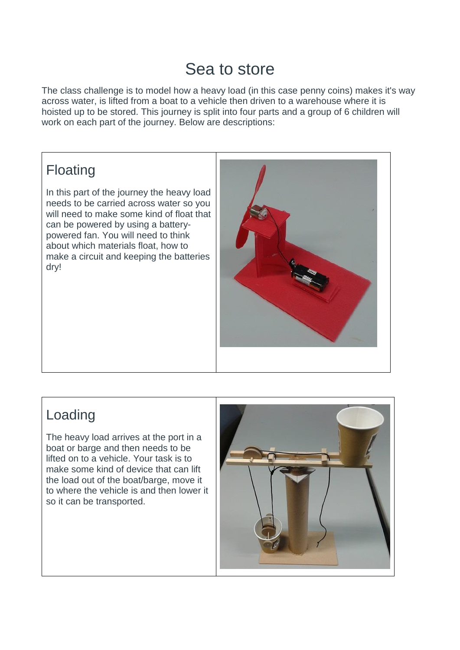## Sea to store

The class challenge is to model how a heavy load (in this case penny coins) makes it's way across water, is lifted from a boat to a vehicle then driven to a warehouse where it is hoisted up to be stored. This journey is split into four parts and a group of 6 children will work on each part of the journey. Below are descriptions:

## Floating

In this part of the journey the heavy load needs to be carried across water so you will need to make some kind of float that can be powered by using a batterypowered fan. You will need to think about which materials float, how to make a circuit and keeping the batteries dry!



## Loading

The heavy load arrives at the port in a boat or barge and then needs to be lifted on to a vehicle. Your task is to make some kind of device that can lift the load out of the boat/barge, move it to where the vehicle is and then lower it so it can be transported.